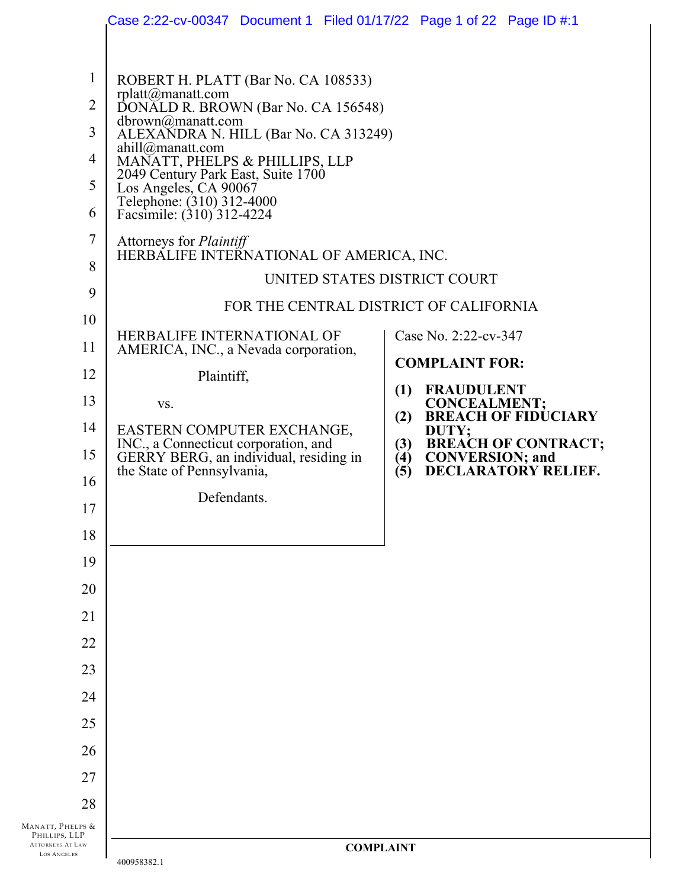|                                                                                                                          | Case 2:22-cv-00347 Document 1 Filed 01/17/22 Page 1 of 22 Page ID #:1                                                                                                                                                                                                                                                                                                                                                                                                                                                                                                                                                                                                                                                                                        |                                                                                                                                                                                                                                               |
|--------------------------------------------------------------------------------------------------------------------------|--------------------------------------------------------------------------------------------------------------------------------------------------------------------------------------------------------------------------------------------------------------------------------------------------------------------------------------------------------------------------------------------------------------------------------------------------------------------------------------------------------------------------------------------------------------------------------------------------------------------------------------------------------------------------------------------------------------------------------------------------------------|-----------------------------------------------------------------------------------------------------------------------------------------------------------------------------------------------------------------------------------------------|
| 1<br>$\overline{2}$<br>3<br>4<br>5<br>6<br>7<br>8<br>9<br>10<br>11<br>12<br>13<br>14<br>15<br>16<br>17<br>18<br>19<br>20 | ROBERT H. PLATT (Bar No. CA 108533)<br>rplatt@manatt.com<br>DONALD R. BROWN (Bar No. CA 156548)<br>dbrown@manatt.com<br>ALEXANDRA N. HILL (Bar No. CA 313249)<br>ahill@manatt.com<br>MANATT, PHELPS & PHILLIPS, LLP<br>2049 Century Park East, Suite 1700<br>Los Angeles, CA 90067<br>Telephone: (310) 312-4000<br>Facsimile: (310) 312-4224<br>Attorneys for <i>Plaintiff</i><br>HERBALIFE INTERNATIONAL OF AMERICA, INC.<br>UNITED STATES DISTRICT COURT<br>FOR THE CENTRAL DISTRICT OF CALIFORNIA<br>HERBALIFE INTERNATIONAL OF<br>AMERICA, INC., a Nevada corporation,<br>Plaintiff,<br>VS.<br>EASTERN COMPUTER EXCHANGE,<br>INC., a Connecticut corporation, and<br>GERRY BERG, an individual, residing in<br>the State of Pennsylvania,<br>Defendants. | Case No. 2:22-cv-347<br><b>COMPLAINT FOR:</b><br>(1)<br><b>FRAUDULENT</b><br><b>CONCEALMENT;</b><br><b>BREACH OF FIDUCIARY</b><br>(2)<br>DUTY;<br><b>BREACH OF CONTRACT;<br/>CONVERSION; and<br/>DECLARATORY RELIEF.</b><br>(3)<br>(4)<br>(5) |
| 21                                                                                                                       |                                                                                                                                                                                                                                                                                                                                                                                                                                                                                                                                                                                                                                                                                                                                                              |                                                                                                                                                                                                                                               |
| 22<br>23                                                                                                                 |                                                                                                                                                                                                                                                                                                                                                                                                                                                                                                                                                                                                                                                                                                                                                              |                                                                                                                                                                                                                                               |
| 24                                                                                                                       |                                                                                                                                                                                                                                                                                                                                                                                                                                                                                                                                                                                                                                                                                                                                                              |                                                                                                                                                                                                                                               |
| 25                                                                                                                       |                                                                                                                                                                                                                                                                                                                                                                                                                                                                                                                                                                                                                                                                                                                                                              |                                                                                                                                                                                                                                               |
| 26                                                                                                                       |                                                                                                                                                                                                                                                                                                                                                                                                                                                                                                                                                                                                                                                                                                                                                              |                                                                                                                                                                                                                                               |
| 27                                                                                                                       |                                                                                                                                                                                                                                                                                                                                                                                                                                                                                                                                                                                                                                                                                                                                                              |                                                                                                                                                                                                                                               |
| 28                                                                                                                       |                                                                                                                                                                                                                                                                                                                                                                                                                                                                                                                                                                                                                                                                                                                                                              |                                                                                                                                                                                                                                               |
| MANATT, PHELPS &<br>PHILLIPS, LLP<br>ATTORNEYS AT LAW<br>LOS ANGELES                                                     | <b>COMPLAINT</b>                                                                                                                                                                                                                                                                                                                                                                                                                                                                                                                                                                                                                                                                                                                                             |                                                                                                                                                                                                                                               |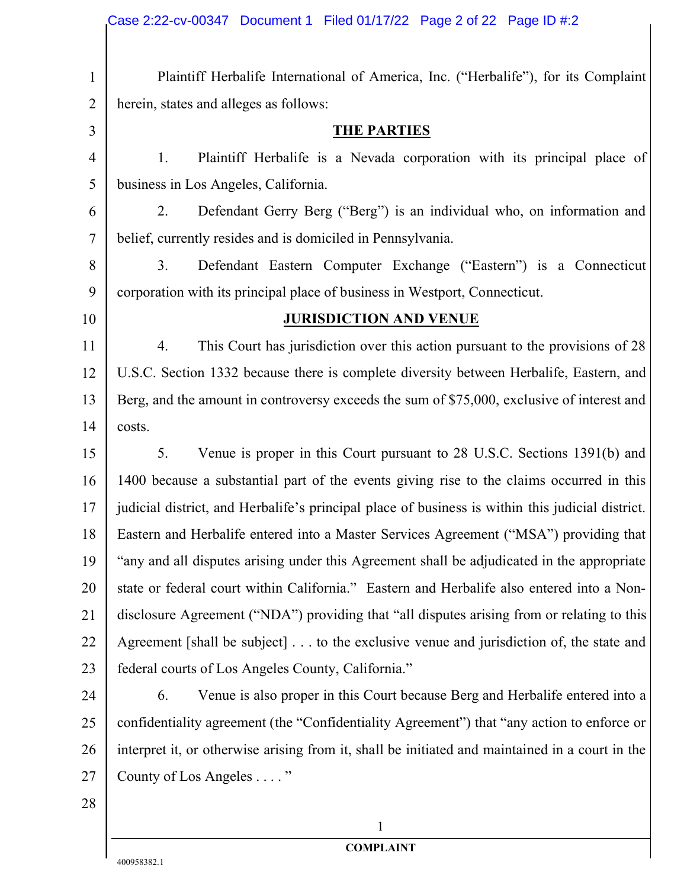|                | Case 2:22-cv-00347 Document 1 Filed 01/17/22 Page 2 of 22 Page ID #:2                            |  |  |
|----------------|--------------------------------------------------------------------------------------------------|--|--|
|                |                                                                                                  |  |  |
| $\mathbf{1}$   | Plaintiff Herbalife International of America, Inc. ("Herbalife"), for its Complaint              |  |  |
| $\overline{2}$ | herein, states and alleges as follows:                                                           |  |  |
| $\overline{3}$ | <b>THE PARTIES</b>                                                                               |  |  |
| $\overline{4}$ | Plaintiff Herbalife is a Nevada corporation with its principal place of<br>1.                    |  |  |
| 5              | business in Los Angeles, California.                                                             |  |  |
| 6              | Defendant Gerry Berg ("Berg") is an individual who, on information and<br>2.                     |  |  |
| $\tau$         | belief, currently resides and is domiciled in Pennsylvania.                                      |  |  |
| 8              | 3.<br>Defendant Eastern Computer Exchange ("Eastern") is a Connecticut                           |  |  |
| 9              | corporation with its principal place of business in Westport, Connecticut.                       |  |  |
| 10             | <b>JURISDICTION AND VENUE</b>                                                                    |  |  |
| 11             | This Court has jurisdiction over this action pursuant to the provisions of 28<br>4.              |  |  |
| 12             | U.S.C. Section 1332 because there is complete diversity between Herbalife, Eastern, and          |  |  |
| 13             | Berg, and the amount in controversy exceeds the sum of \$75,000, exclusive of interest and       |  |  |
| 14             | costs.                                                                                           |  |  |
| 15             | Venue is proper in this Court pursuant to 28 U.S.C. Sections 1391(b) and<br>5.                   |  |  |
| 16             | 1400 because a substantial part of the events giving rise to the claims occurred in this         |  |  |
| 17             | judicial district, and Herbalife's principal place of business is within this judicial district. |  |  |
| 18             | Eastern and Herbalife entered into a Master Services Agreement ("MSA") providing that            |  |  |
| 19             | "any and all disputes arising under this Agreement shall be adjudicated in the appropriate       |  |  |
| 20             | state or federal court within California." Eastern and Herbalife also entered into a Non-        |  |  |
| 21             | disclosure Agreement ("NDA") providing that "all disputes arising from or relating to this       |  |  |
| 22             | Agreement [shall be subject] to the exclusive venue and jurisdiction of, the state and           |  |  |
| 23             | federal courts of Los Angeles County, California."                                               |  |  |
| 24             | Venue is also proper in this Court because Berg and Herbalife entered into a<br>6.               |  |  |
| 25             | confidentiality agreement (the "Confidentiality Agreement") that "any action to enforce or       |  |  |
| 26             | interpret it, or otherwise arising from it, shall be initiated and maintained in a court in the  |  |  |
| 27             | County of Los Angeles "                                                                          |  |  |
| 28             |                                                                                                  |  |  |
|                | 1                                                                                                |  |  |

 $\|$ 

**COMPLAINT**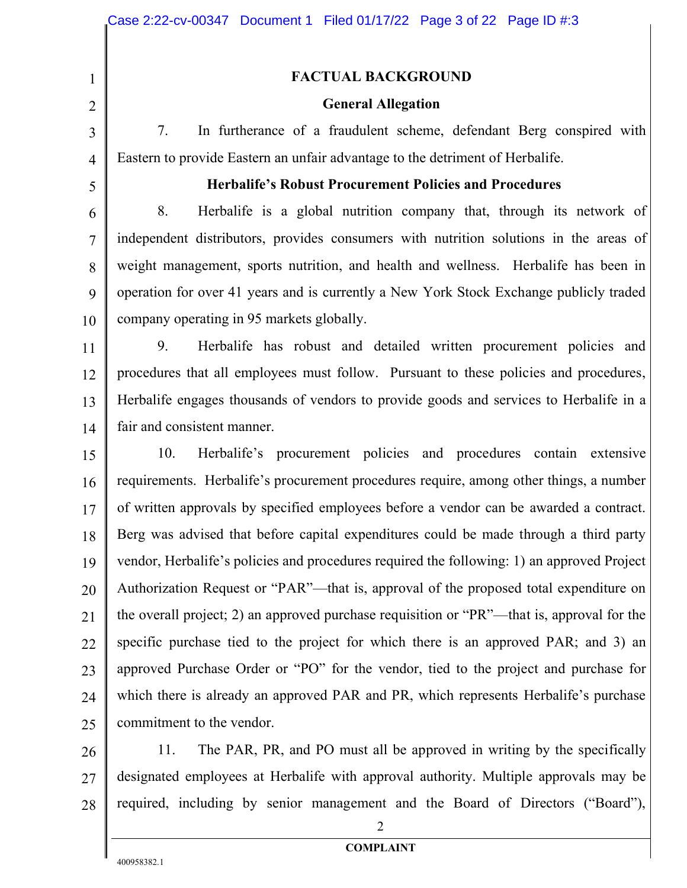#### **FACTUAL BACKGROUND**

#### **General Allegation**

7. In furtherance of a fraudulent scheme, defendant Berg conspired with Eastern to provide Eastern an unfair advantage to the detriment of Herbalife.

5

1

2

3

4

#### **Herbalife's Robust Procurement Policies and Procedures**

6 7 8 9 10 8. Herbalife is a global nutrition company that, through its network of independent distributors, provides consumers with nutrition solutions in the areas of weight management, sports nutrition, and health and wellness. Herbalife has been in operation for over 41 years and is currently a New York Stock Exchange publicly traded company operating in 95 markets globally.

11 12 13 14 9. Herbalife has robust and detailed written procurement policies and procedures that all employees must follow. Pursuant to these policies and procedures, Herbalife engages thousands of vendors to provide goods and services to Herbalife in a fair and consistent manner.

15 16 17 18 19 20 21 22 23 24 25 10. Herbalife's procurement policies and procedures contain extensive requirements. Herbalife's procurement procedures require, among other things, a number of written approvals by specified employees before a vendor can be awarded a contract. Berg was advised that before capital expenditures could be made through a third party vendor, Herbalife's policies and procedures required the following: 1) an approved Project Authorization Request or "PAR"—that is, approval of the proposed total expenditure on the overall project; 2) an approved purchase requisition or "PR"—that is, approval for the specific purchase tied to the project for which there is an approved PAR; and 3) an approved Purchase Order or "PO" for the vendor, tied to the project and purchase for which there is already an approved PAR and PR, which represents Herbalife's purchase commitment to the vendor.

26 27 28 11. The PAR, PR, and PO must all be approved in writing by the specifically designated employees at Herbalife with approval authority. Multiple approvals may be required, including by senior management and the Board of Directors ("Board"),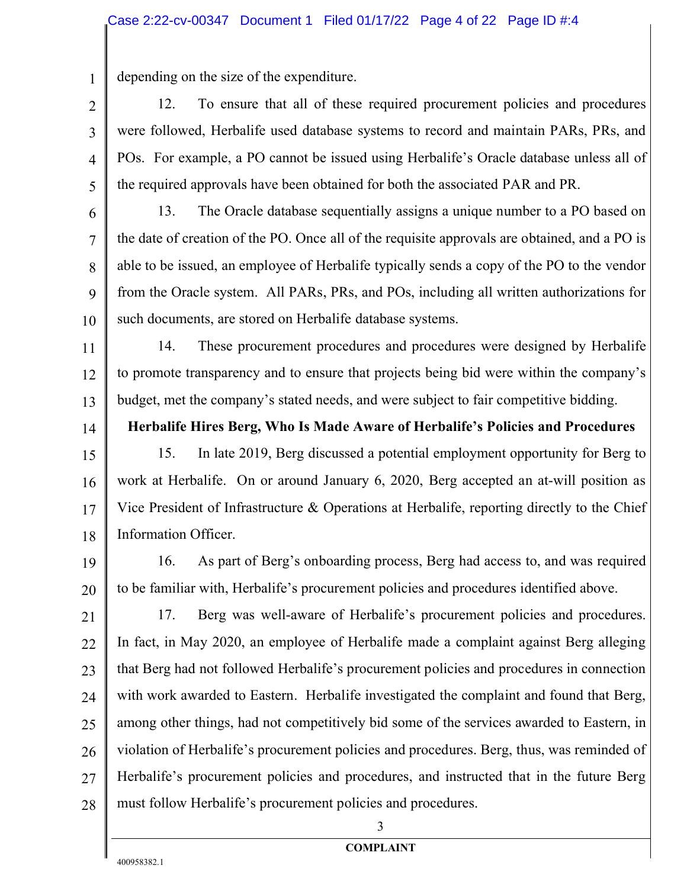depending on the size of the expenditure.

1

2

3

4

5

6

7

8

9

10

14

12. To ensure that all of these required procurement policies and procedures were followed, Herbalife used database systems to record and maintain PARs, PRs, and POs. For example, a PO cannot be issued using Herbalife's Oracle database unless all of the required approvals have been obtained for both the associated PAR and PR.

13. The Oracle database sequentially assigns a unique number to a PO based on the date of creation of the PO. Once all of the requisite approvals are obtained, and a PO is able to be issued, an employee of Herbalife typically sends a copy of the PO to the vendor from the Oracle system. All PARs, PRs, and POs, including all written authorizations for such documents, are stored on Herbalife database systems.

11 12 13 14. These procurement procedures and procedures were designed by Herbalife to promote transparency and to ensure that projects being bid were within the company's budget, met the company's stated needs, and were subject to fair competitive bidding.

**Herbalife Hires Berg, Who Is Made Aware of Herbalife's Policies and Procedures**

15 16 17 18 15. In late 2019, Berg discussed a potential employment opportunity for Berg to work at Herbalife. On or around January 6, 2020, Berg accepted an at-will position as Vice President of Infrastructure & Operations at Herbalife, reporting directly to the Chief Information Officer.

19 20 16. As part of Berg's onboarding process, Berg had access to, and was required to be familiar with, Herbalife's procurement policies and procedures identified above.

21 22 23 24 25 26 27 28 17. Berg was well-aware of Herbalife's procurement policies and procedures. In fact, in May 2020, an employee of Herbalife made a complaint against Berg alleging that Berg had not followed Herbalife's procurement policies and procedures in connection with work awarded to Eastern. Herbalife investigated the complaint and found that Berg, among other things, had not competitively bid some of the services awarded to Eastern, in violation of Herbalife's procurement policies and procedures. Berg, thus, was reminded of Herbalife's procurement policies and procedures, and instructed that in the future Berg must follow Herbalife's procurement policies and procedures.

3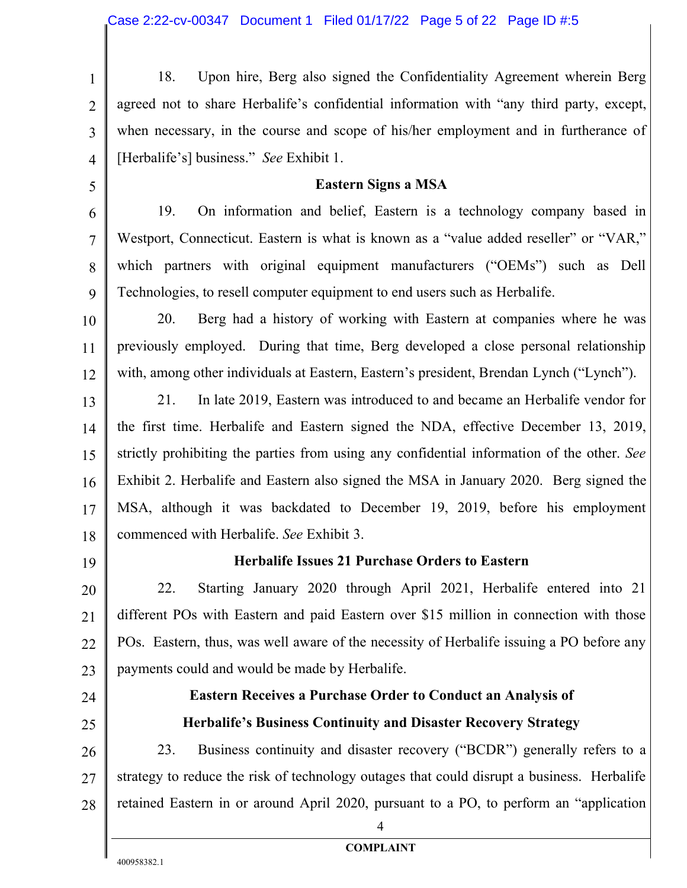1 2 3 4 18. Upon hire, Berg also signed the Confidentiality Agreement wherein Berg agreed not to share Herbalife's confidential information with "any third party, except, when necessary, in the course and scope of his/her employment and in furtherance of [Herbalife's] business." *See* Exhibit 1.

#### **Eastern Signs a MSA**

19. On information and belief, Eastern is a technology company based in Westport, Connecticut. Eastern is what is known as a "value added reseller" or "VAR," which partners with original equipment manufacturers ("OEMs") such as Dell Technologies, to resell computer equipment to end users such as Herbalife.

10 11 12 20. Berg had a history of working with Eastern at companies where he was previously employed. During that time, Berg developed a close personal relationship with, among other individuals at Eastern, Eastern's president, Brendan Lynch ("Lynch").

13 14 15 16 17 18 21. In late 2019, Eastern was introduced to and became an Herbalife vendor for the first time. Herbalife and Eastern signed the NDA, effective December 13, 2019, strictly prohibiting the parties from using any confidential information of the other. *See* Exhibit 2. Herbalife and Eastern also signed the MSA in January 2020. Berg signed the MSA, although it was backdated to December 19, 2019, before his employment commenced with Herbalife. *See* Exhibit 3.

19

5

6

7

8

9

## **Herbalife Issues 21 Purchase Orders to Eastern**

20 21 22 23 22. Starting January 2020 through April 2021, Herbalife entered into 21 different POs with Eastern and paid Eastern over \$15 million in connection with those POs. Eastern, thus, was well aware of the necessity of Herbalife issuing a PO before any payments could and would be made by Herbalife.

- 24
- 25

## **Eastern Receives a Purchase Order to Conduct an Analysis of Herbalife's Business Continuity and Disaster Recovery Strategy**

26 27 28 23. Business continuity and disaster recovery ("BCDR") generally refers to a strategy to reduce the risk of technology outages that could disrupt a business. Herbalife retained Eastern in or around April 2020, pursuant to a PO, to perform an "application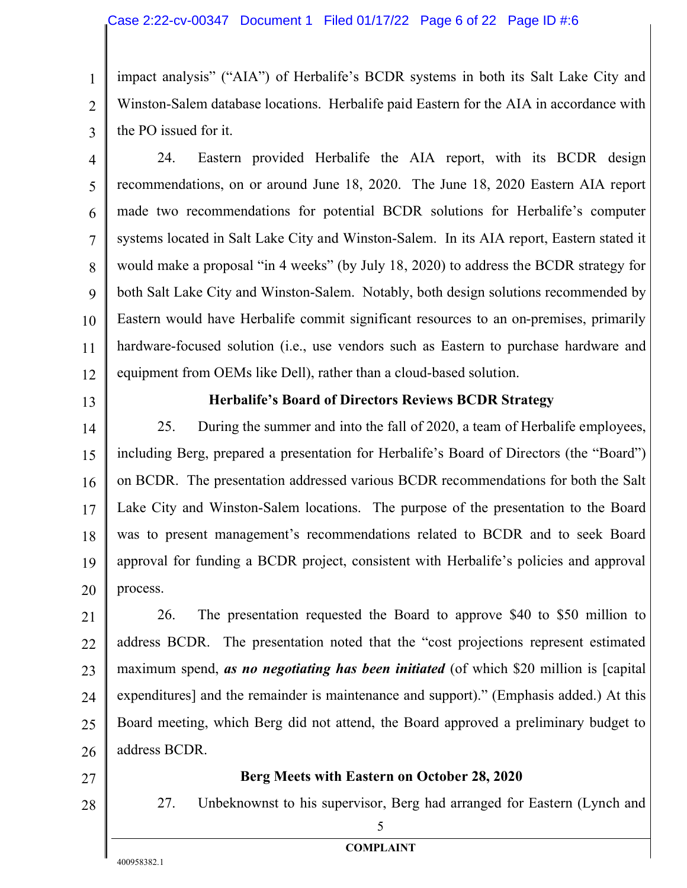1 2 3 impact analysis" ("AIA") of Herbalife's BCDR systems in both its Salt Lake City and Winston-Salem database locations. Herbalife paid Eastern for the AIA in accordance with the PO issued for it.

- 4 5 6 7 8 9 10 11 12 24. Eastern provided Herbalife the AIA report, with its BCDR design recommendations, on or around June 18, 2020. The June 18, 2020 Eastern AIA report made two recommendations for potential BCDR solutions for Herbalife's computer systems located in Salt Lake City and Winston-Salem. In its AIA report, Eastern stated it would make a proposal "in 4 weeks" (by July 18, 2020) to address the BCDR strategy for both Salt Lake City and Winston-Salem. Notably, both design solutions recommended by Eastern would have Herbalife commit significant resources to an on-premises, primarily hardware-focused solution (i.e., use vendors such as Eastern to purchase hardware and equipment from OEMs like Dell), rather than a cloud-based solution.
- 13

## **Herbalife's Board of Directors Reviews BCDR Strategy**

14 15 16 17 18 19 20 25. During the summer and into the fall of 2020, a team of Herbalife employees, including Berg, prepared a presentation for Herbalife's Board of Directors (the "Board") on BCDR. The presentation addressed various BCDR recommendations for both the Salt Lake City and Winston-Salem locations. The purpose of the presentation to the Board was to present management's recommendations related to BCDR and to seek Board approval for funding a BCDR project, consistent with Herbalife's policies and approval process.

21 22 23 24 25 26 26. The presentation requested the Board to approve \$40 to \$50 million to address BCDR. The presentation noted that the "cost projections represent estimated maximum spend, *as no negotiating has been initiated* (of which \$20 million is [capital expenditures] and the remainder is maintenance and support)." (Emphasis added.) At this Board meeting, which Berg did not attend, the Board approved a preliminary budget to address BCDR.

- 27
- 28

#### **Berg Meets with Eastern on October 28, 2020**

27. Unbeknownst to his supervisor, Berg had arranged for Eastern (Lynch and

**COMPLAINT**

5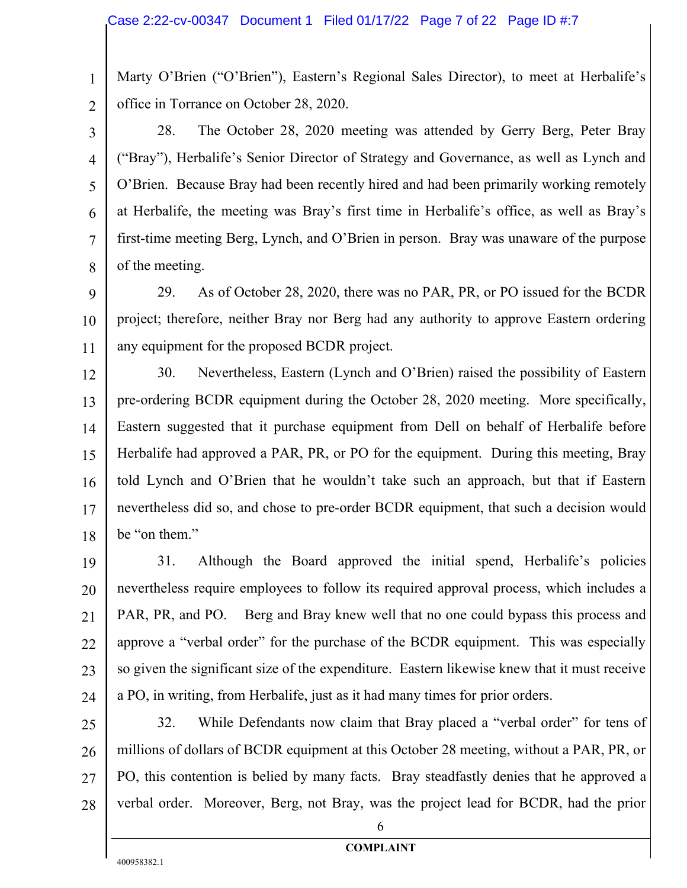Marty O'Brien ("O'Brien"), Eastern's Regional Sales Director), to meet at Herbalife's office in Torrance on October 28, 2020.

2 3

4

5

6

7

8

1

28. The October 28, 2020 meeting was attended by Gerry Berg, Peter Bray ("Bray"), Herbalife's Senior Director of Strategy and Governance, as well as Lynch and O'Brien. Because Bray had been recently hired and had been primarily working remotely at Herbalife, the meeting was Bray's first time in Herbalife's office, as well as Bray's first-time meeting Berg, Lynch, and O'Brien in person. Bray was unaware of the purpose of the meeting.

9 10 11 29. As of October 28, 2020, there was no PAR, PR, or PO issued for the BCDR project; therefore, neither Bray nor Berg had any authority to approve Eastern ordering any equipment for the proposed BCDR project.

12 13 14 15 16 17 18 30. Nevertheless, Eastern (Lynch and O'Brien) raised the possibility of Eastern pre-ordering BCDR equipment during the October 28, 2020 meeting. More specifically, Eastern suggested that it purchase equipment from Dell on behalf of Herbalife before Herbalife had approved a PAR, PR, or PO for the equipment. During this meeting, Bray told Lynch and O'Brien that he wouldn't take such an approach, but that if Eastern nevertheless did so, and chose to pre-order BCDR equipment, that such a decision would be "on them."

19 20 21 22 23 24 31. Although the Board approved the initial spend, Herbalife's policies nevertheless require employees to follow its required approval process, which includes a PAR, PR, and PO. Berg and Bray knew well that no one could bypass this process and approve a "verbal order" for the purchase of the BCDR equipment. This was especially so given the significant size of the expenditure. Eastern likewise knew that it must receive a PO, in writing, from Herbalife, just as it had many times for prior orders.

25 26 27 28 32. While Defendants now claim that Bray placed a "verbal order" for tens of millions of dollars of BCDR equipment at this October 28 meeting, without a PAR, PR, or PO, this contention is belied by many facts. Bray steadfastly denies that he approved a verbal order. Moreover, Berg, not Bray, was the project lead for BCDR, had the prior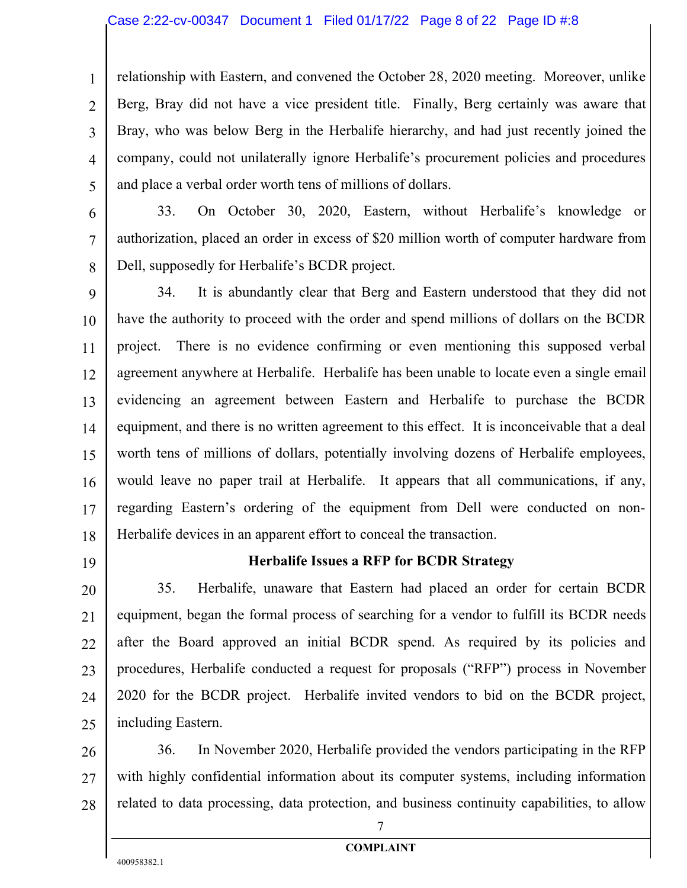#### Case 2:22-cv-00347 Document 1 Filed 01/17/22 Page 8 of 22 Page ID #:8

1 2 3 4 5 relationship with Eastern, and convened the October 28, 2020 meeting. Moreover, unlike Berg, Bray did not have a vice president title. Finally, Berg certainly was aware that Bray, who was below Berg in the Herbalife hierarchy, and had just recently joined the company, could not unilaterally ignore Herbalife's procurement policies and procedures and place a verbal order worth tens of millions of dollars.

6 7 8 33. On October 30, 2020, Eastern, without Herbalife's knowledge or authorization, placed an order in excess of \$20 million worth of computer hardware from Dell, supposedly for Herbalife's BCDR project.

9 10 11 12 13 14 15 16 17 18 34. It is abundantly clear that Berg and Eastern understood that they did not have the authority to proceed with the order and spend millions of dollars on the BCDR project. There is no evidence confirming or even mentioning this supposed verbal agreement anywhere at Herbalife. Herbalife has been unable to locate even a single email evidencing an agreement between Eastern and Herbalife to purchase the BCDR equipment, and there is no written agreement to this effect. It is inconceivable that a deal worth tens of millions of dollars, potentially involving dozens of Herbalife employees, would leave no paper trail at Herbalife. It appears that all communications, if any, regarding Eastern's ordering of the equipment from Dell were conducted on non-Herbalife devices in an apparent effort to conceal the transaction.

19

#### **Herbalife Issues a RFP for BCDR Strategy**

20 21 22 23 24 25 35. Herbalife, unaware that Eastern had placed an order for certain BCDR equipment, began the formal process of searching for a vendor to fulfill its BCDR needs after the Board approved an initial BCDR spend. As required by its policies and procedures, Herbalife conducted a request for proposals ("RFP") process in November 2020 for the BCDR project. Herbalife invited vendors to bid on the BCDR project, including Eastern.

26 27 28 36. In November 2020, Herbalife provided the vendors participating in the RFP with highly confidential information about its computer systems, including information related to data processing, data protection, and business continuity capabilities, to allow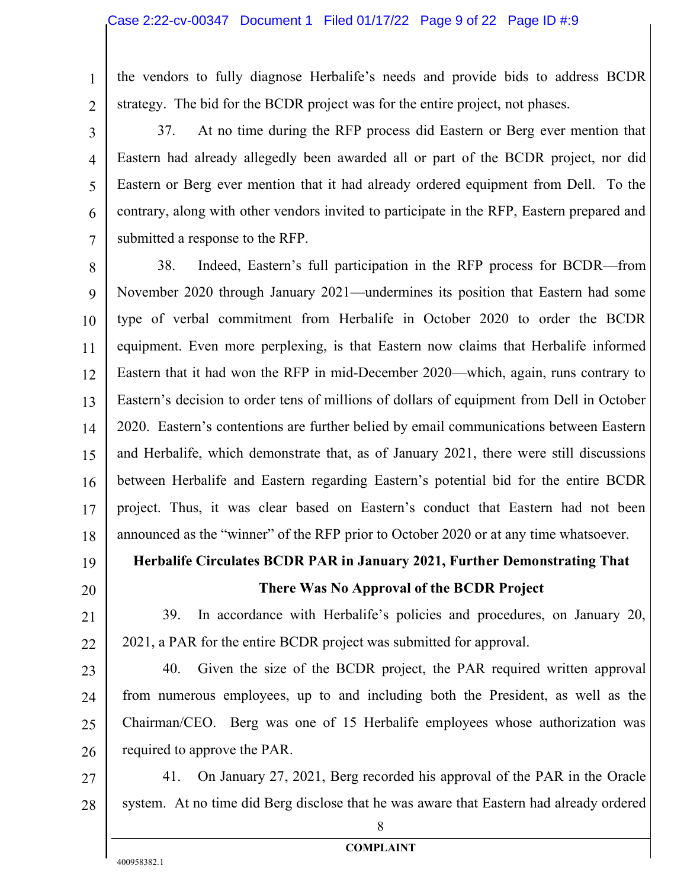the vendors to fully diagnose Herbalife's needs and provide bids to address BCDR strategy. The bid for the BCDR project was for the entire project, not phases.

2 3

4

5

6

7

1

37. At no time during the RFP process did Eastern or Berg ever mention that Eastern had already allegedly been awarded all or part of the BCDR project, nor did Eastern or Berg ever mention that it had already ordered equipment from Dell. To the contrary, along with other vendors invited to participate in the RFP, Eastern prepared and submitted a response to the RFP.

8 9 10 11 12 13 14 15 16 17 18 38. Indeed, Eastern's full participation in the RFP process for BCDR—from November 2020 through January 2021—undermines its position that Eastern had some type of verbal commitment from Herbalife in October 2020 to order the BCDR equipment. Even more perplexing, is that Eastern now claims that Herbalife informed Eastern that it had won the RFP in mid-December 2020—which, again, runs contrary to Eastern's decision to order tens of millions of dollars of equipment from Dell in October 2020. Eastern's contentions are further belied by email communications between Eastern and Herbalife, which demonstrate that, as of January 2021, there were still discussions between Herbalife and Eastern regarding Eastern's potential bid for the entire BCDR project. Thus, it was clear based on Eastern's conduct that Eastern had not been announced as the "winner" of the RFP prior to October 2020 or at any time whatsoever.

- 19
- 20

21

22

## **There Was No Approval of the BCDR Project**

39. In accordance with Herbalife's policies and procedures, on January 20, 2021, a PAR for the entire BCDR project was submitted for approval.

**Herbalife Circulates BCDR PAR in January 2021, Further Demonstrating That** 

23 24 25 26 40. Given the size of the BCDR project, the PAR required written approval from numerous employees, up to and including both the President, as well as the Chairman/CEO. Berg was one of 15 Herbalife employees whose authorization was required to approve the PAR.

27

28

41. On January 27, 2021, Berg recorded his approval of the PAR in the Oracle system. At no time did Berg disclose that he was aware that Eastern had already ordered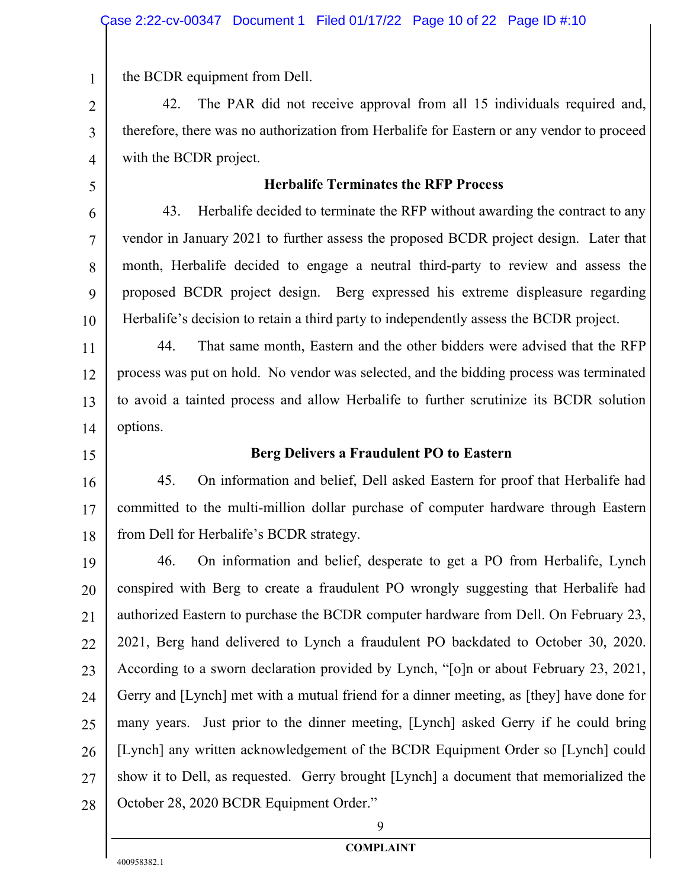the BCDR equipment from Dell.

42. The PAR did not receive approval from all 15 individuals required and, therefore, there was no authorization from Herbalife for Eastern or any vendor to proceed with the BCDR project.

5

6

7

8

9

10

1

2

3

4

#### **Herbalife Terminates the RFP Process**

43. Herbalife decided to terminate the RFP without awarding the contract to any vendor in January 2021 to further assess the proposed BCDR project design. Later that month, Herbalife decided to engage a neutral third-party to review and assess the proposed BCDR project design. Berg expressed his extreme displeasure regarding Herbalife's decision to retain a third party to independently assess the BCDR project.

11 12 13 14 44. That same month, Eastern and the other bidders were advised that the RFP process was put on hold. No vendor was selected, and the bidding process was terminated to avoid a tainted process and allow Herbalife to further scrutinize its BCDR solution options.

15

#### **Berg Delivers a Fraudulent PO to Eastern**

16 17 18 45. On information and belief, Dell asked Eastern for proof that Herbalife had committed to the multi-million dollar purchase of computer hardware through Eastern from Dell for Herbalife's BCDR strategy.

19 20 21 22 23 24 25 26 27 28 46. On information and belief, desperate to get a PO from Herbalife, Lynch conspired with Berg to create a fraudulent PO wrongly suggesting that Herbalife had authorized Eastern to purchase the BCDR computer hardware from Dell. On February 23, 2021, Berg hand delivered to Lynch a fraudulent PO backdated to October 30, 2020. According to a sworn declaration provided by Lynch, "[o]n or about February 23, 2021, Gerry and [Lynch] met with a mutual friend for a dinner meeting, as [they] have done for many years. Just prior to the dinner meeting, [Lynch] asked Gerry if he could bring [Lynch] any written acknowledgement of the BCDR Equipment Order so [Lynch] could show it to Dell, as requested. Gerry brought [Lynch] a document that memorialized the October 28, 2020 BCDR Equipment Order."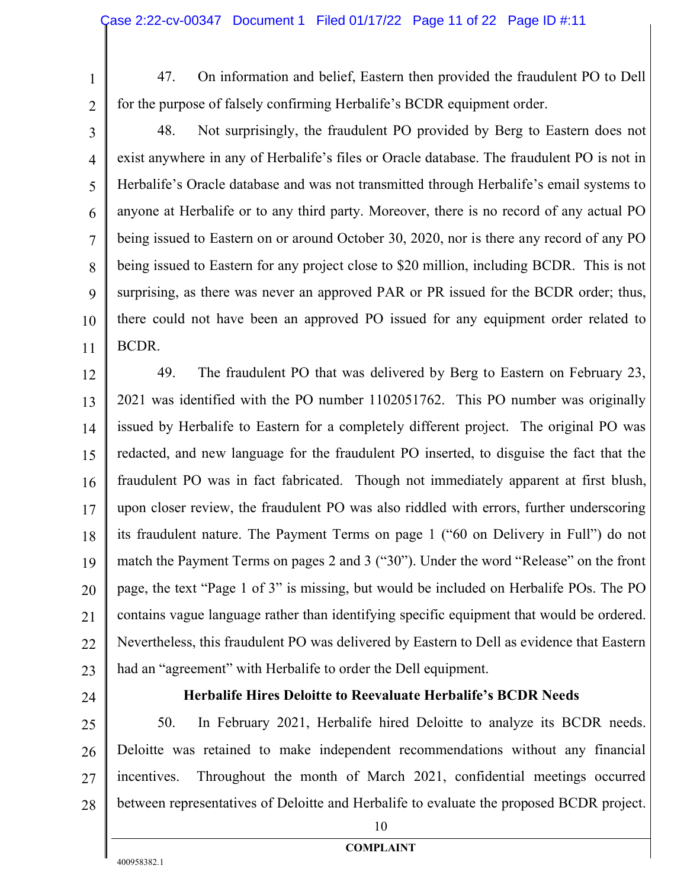1 2

47. On information and belief, Eastern then provided the fraudulent PO to Dell for the purpose of falsely confirming Herbalife's BCDR equipment order.

3 4 5 6 7 8 9 10 11 48. Not surprisingly, the fraudulent PO provided by Berg to Eastern does not exist anywhere in any of Herbalife's files or Oracle database. The fraudulent PO is not in Herbalife's Oracle database and was not transmitted through Herbalife's email systems to anyone at Herbalife or to any third party. Moreover, there is no record of any actual PO being issued to Eastern on or around October 30, 2020, nor is there any record of any PO being issued to Eastern for any project close to \$20 million, including BCDR. This is not surprising, as there was never an approved PAR or PR issued for the BCDR order; thus, there could not have been an approved PO issued for any equipment order related to BCDR.

12 13 14 15 16 17 18 19 20 21 22 23 49. The fraudulent PO that was delivered by Berg to Eastern on February 23, 2021 was identified with the PO number 1102051762. This PO number was originally issued by Herbalife to Eastern for a completely different project. The original PO was redacted, and new language for the fraudulent PO inserted, to disguise the fact that the fraudulent PO was in fact fabricated. Though not immediately apparent at first blush, upon closer review, the fraudulent PO was also riddled with errors, further underscoring its fraudulent nature. The Payment Terms on page 1 ("60 on Delivery in Full") do not match the Payment Terms on pages 2 and 3 ("30"). Under the word "Release" on the front page, the text "Page 1 of 3" is missing, but would be included on Herbalife POs. The PO contains vague language rather than identifying specific equipment that would be ordered. Nevertheless, this fraudulent PO was delivered by Eastern to Dell as evidence that Eastern had an "agreement" with Herbalife to order the Dell equipment.

24

#### **Herbalife Hires Deloitte to Reevaluate Herbalife's BCDR Needs**

25 26 27 28 50. In February 2021, Herbalife hired Deloitte to analyze its BCDR needs. Deloitte was retained to make independent recommendations without any financial incentives. Throughout the month of March 2021, confidential meetings occurred between representatives of Deloitte and Herbalife to evaluate the proposed BCDR project.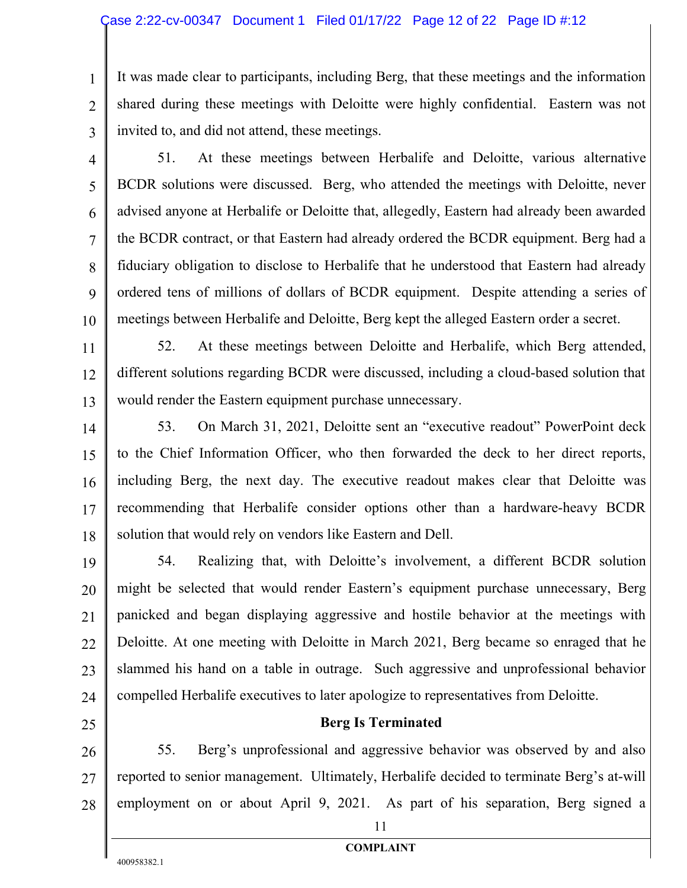1 2 3 It was made clear to participants, including Berg, that these meetings and the information shared during these meetings with Deloitte were highly confidential. Eastern was not invited to, and did not attend, these meetings.

4

5

6

7

8

9

10

51. At these meetings between Herbalife and Deloitte, various alternative BCDR solutions were discussed. Berg, who attended the meetings with Deloitte, never advised anyone at Herbalife or Deloitte that, allegedly, Eastern had already been awarded the BCDR contract, or that Eastern had already ordered the BCDR equipment. Berg had a fiduciary obligation to disclose to Herbalife that he understood that Eastern had already ordered tens of millions of dollars of BCDR equipment. Despite attending a series of meetings between Herbalife and Deloitte, Berg kept the alleged Eastern order a secret.

11 12 13 52. At these meetings between Deloitte and Herbalife, which Berg attended, different solutions regarding BCDR were discussed, including a cloud-based solution that would render the Eastern equipment purchase unnecessary.

14 15 16 17 18 53. On March 31, 2021, Deloitte sent an "executive readout" PowerPoint deck to the Chief Information Officer, who then forwarded the deck to her direct reports, including Berg, the next day. The executive readout makes clear that Deloitte was recommending that Herbalife consider options other than a hardware-heavy BCDR solution that would rely on vendors like Eastern and Dell.

19 20 21 22 23 24 54. Realizing that, with Deloitte's involvement, a different BCDR solution might be selected that would render Eastern's equipment purchase unnecessary, Berg panicked and began displaying aggressive and hostile behavior at the meetings with Deloitte. At one meeting with Deloitte in March 2021, Berg became so enraged that he slammed his hand on a table in outrage. Such aggressive and unprofessional behavior compelled Herbalife executives to later apologize to representatives from Deloitte.

25

26

27 28

55. Berg's unprofessional and aggressive behavior was observed by and also reported to senior management. Ultimately, Herbalife decided to terminate Berg's at-will employment on or about April 9, 2021. As part of his separation, Berg signed a

**Berg Is Terminated**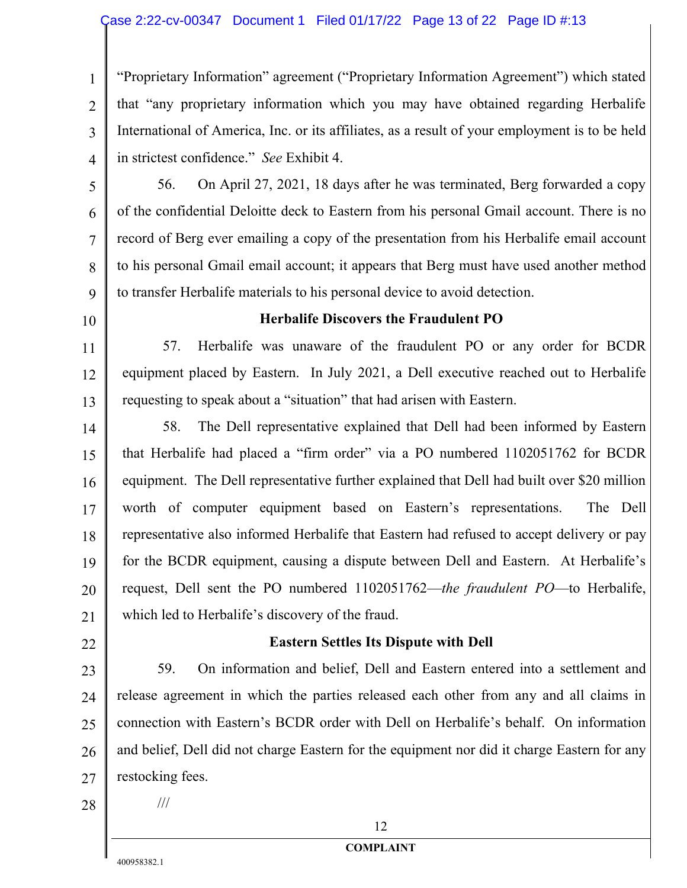#### Case 2:22-cv-00347 Document 1 Filed 01/17/22 Page 13 of 22 Page ID #:13

1 2 3 4 "Proprietary Information" agreement ("Proprietary Information Agreement") which stated that "any proprietary information which you may have obtained regarding Herbalife International of America, Inc. or its affiliates, as a result of your employment is to be held in strictest confidence." *See* Exhibit 4.

- 5 6 7 8 9 56. On April 27, 2021, 18 days after he was terminated, Berg forwarded a copy of the confidential Deloitte deck to Eastern from his personal Gmail account. There is no record of Berg ever emailing a copy of the presentation from his Herbalife email account to his personal Gmail email account; it appears that Berg must have used another method to transfer Herbalife materials to his personal device to avoid detection.
- 10

11

12

13

#### **Herbalife Discovers the Fraudulent PO**

57. Herbalife was unaware of the fraudulent PO or any order for BCDR equipment placed by Eastern. In July 2021, a Dell executive reached out to Herbalife requesting to speak about a "situation" that had arisen with Eastern.

- 14 15 16 17 18 19 20 21 58. The Dell representative explained that Dell had been informed by Eastern that Herbalife had placed a "firm order" via a PO numbered 1102051762 for BCDR equipment. The Dell representative further explained that Dell had built over \$20 million worth of computer equipment based on Eastern's representations. The Dell representative also informed Herbalife that Eastern had refused to accept delivery or pay for the BCDR equipment, causing a dispute between Dell and Eastern. At Herbalife's request, Dell sent the PO numbered 1102051762—*the fraudulent PO*—to Herbalife, which led to Herbalife's discovery of the fraud.
- 22

#### **Eastern Settles Its Dispute with Dell**

23 24 25 26 27 59. On information and belief, Dell and Eastern entered into a settlement and release agreement in which the parties released each other from any and all claims in connection with Eastern's BCDR order with Dell on Herbalife's behalf. On information and belief, Dell did not charge Eastern for the equipment nor did it charge Eastern for any restocking fees.

28

///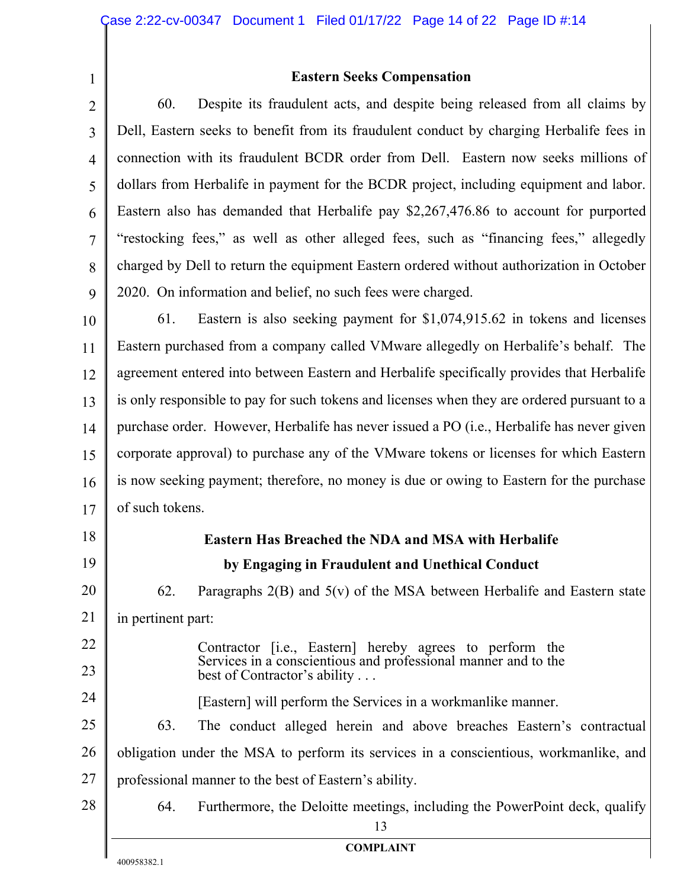**Eastern Seeks Compensation**

2 3 4 5 6 7 8 9 60. Despite its fraudulent acts, and despite being released from all claims by Dell, Eastern seeks to benefit from its fraudulent conduct by charging Herbalife fees in connection with its fraudulent BCDR order from Dell. Eastern now seeks millions of dollars from Herbalife in payment for the BCDR project, including equipment and labor. Eastern also has demanded that Herbalife pay \$2,267,476.86 to account for purported "restocking fees," as well as other alleged fees, such as "financing fees," allegedly charged by Dell to return the equipment Eastern ordered without authorization in October 2020. On information and belief, no such fees were charged.

10 11 12 13 14 15 16 17 61. Eastern is also seeking payment for \$1,074,915.62 in tokens and licenses Eastern purchased from a company called VMware allegedly on Herbalife's behalf. The agreement entered into between Eastern and Herbalife specifically provides that Herbalife is only responsible to pay for such tokens and licenses when they are ordered pursuant to a purchase order. However, Herbalife has never issued a PO (i.e., Herbalife has never given corporate approval) to purchase any of the VMware tokens or licenses for which Eastern is now seeking payment; therefore, no money is due or owing to Eastern for the purchase of such tokens.

18 19 20 21 22 23 24 25 26 27 28 13 **COMPLAINT Eastern Has Breached the NDA and MSA with Herbalife by Engaging in Fraudulent and Unethical Conduct** 62. Paragraphs 2(B) and 5(v) of the MSA between Herbalife and Eastern state in pertinent part: Contractor [i.e., Eastern] hereby agrees to perform the Services in a conscientious and professional manner and to the best of Contractor's ability . . . [Eastern] will perform the Services in a workmanlike manner. 63. The conduct alleged herein and above breaches Eastern's contractual obligation under the MSA to perform its services in a conscientious, workmanlike, and professional manner to the best of Eastern's ability. 64. Furthermore, the Deloitte meetings, including the PowerPoint deck, qualify

1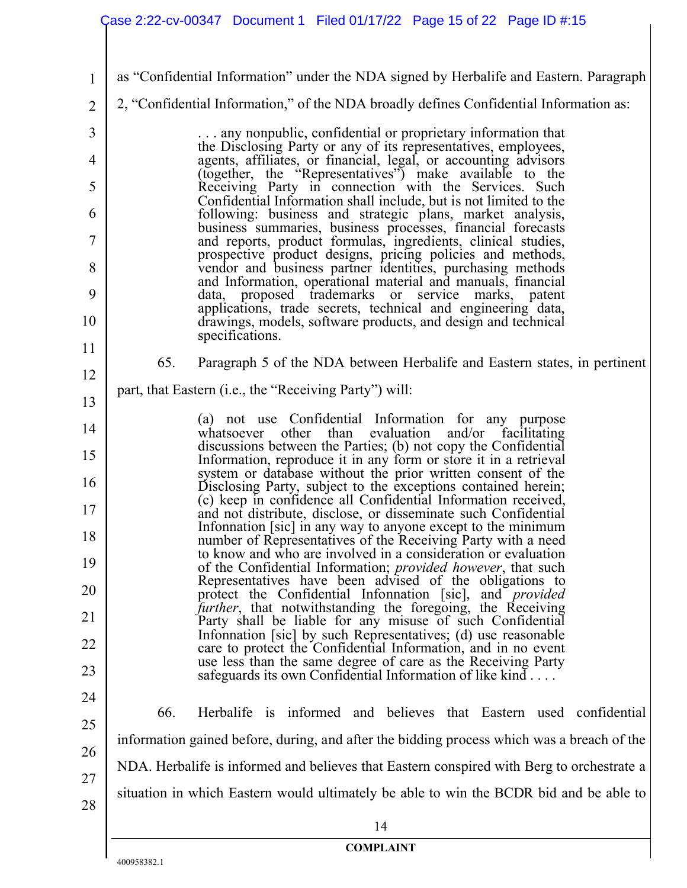| $\mathbf{1}$   | as "Confidential Information" under the NDA signed by Herbalife and Eastern. Paragraph                                                                                                        |  |  |
|----------------|-----------------------------------------------------------------------------------------------------------------------------------------------------------------------------------------------|--|--|
| $\overline{2}$ | 2, "Confidential Information," of the NDA broadly defines Confidential Information as:                                                                                                        |  |  |
| 3              | any nonpublic, confidential or proprietary information that<br>the Disclosing Party or any of its representatives, employees,                                                                 |  |  |
| 4              | agents, affiliates, or financial, legal, or accounting advisors (together, the "Representatives") make available to the                                                                       |  |  |
| 5              | Receiving Party in connection with the Services. Such                                                                                                                                         |  |  |
| 6              | Confidential Information shall include, but is not limited to the<br>following: business and strategic plans, market analysis,                                                                |  |  |
| 7              | business summaries, business processes, financial forecasts                                                                                                                                   |  |  |
| 8              | and reports, product formulas, ingredients, clinical studies, prospective product designs, pricing policies and methods, vendor and business partner identities, purchasing methods           |  |  |
| 9              | and Information, operational material and manuals, financial<br>data, proposed trademarks or service marks, patent                                                                            |  |  |
| 10             | applications, trade secrets, technical and engineering data,<br>drawings, models, software products, and design and technical<br>specifications.                                              |  |  |
| 11             | 65.<br>Paragraph 5 of the NDA between Herbalife and Eastern states, in pertinent                                                                                                              |  |  |
| 12             | part, that Eastern (i.e., the "Receiving Party") will:                                                                                                                                        |  |  |
| 13             |                                                                                                                                                                                               |  |  |
| 14             | (a) not use Confidential Information for any purpose<br>other<br>than<br>evaluation<br>and/or facilitating<br>whatsoever                                                                      |  |  |
| 15             | discussions between the Parties; (b) not copy the Confidential<br>Information, reproduce it in any form or store it in a retrieval                                                            |  |  |
| 16             | system or database without the prior written consent of the<br>Disclosing Party, subject to the exceptions contained herein;<br>(c) keep in confidence all Confidential Information received, |  |  |
| 17             | and not distribute, disclose, or disseminate such Confidential<br>Infonnation [sic] in any way to anyone except to the minimum                                                                |  |  |
| 18             | number of Representatives of the Receiving Party with a need<br>to know and who are involved in a consideration or evaluation                                                                 |  |  |
| 19             | of the Confidential Information; provided however, that such<br>Representatives have been advised of the obligations to                                                                       |  |  |
| 20             | protect the Confidential Information [sic], and <i>provided</i><br><i>further</i> , that notwithstanding the foregoing, the Receiving                                                         |  |  |
| 21             | Party shall be liable for any misuse of such Confidential<br>Infonnation [sic] by such Representatives; (d) use reasonable                                                                    |  |  |
| 22             | care to protect the Confidential Information, and in no event<br>use less than the same degree of care as the Receiving Party                                                                 |  |  |
| 23             | safeguards its own Confidential Information of like $\text{kind} \dots$                                                                                                                       |  |  |
| 24             | 66.<br>Herbalife is informed and believes that Eastern used confidential                                                                                                                      |  |  |
| 25             | information gained before, during, and after the bidding process which was a breach of the                                                                                                    |  |  |
| 26             | NDA. Herbalife is informed and believes that Eastern conspired with Berg to orchestrate a                                                                                                     |  |  |
| 27<br>28       | situation in which Eastern would ultimately be able to win the BCDR bid and be able to                                                                                                        |  |  |
|                | 14                                                                                                                                                                                            |  |  |
|                | <b>COMPLAINT</b>                                                                                                                                                                              |  |  |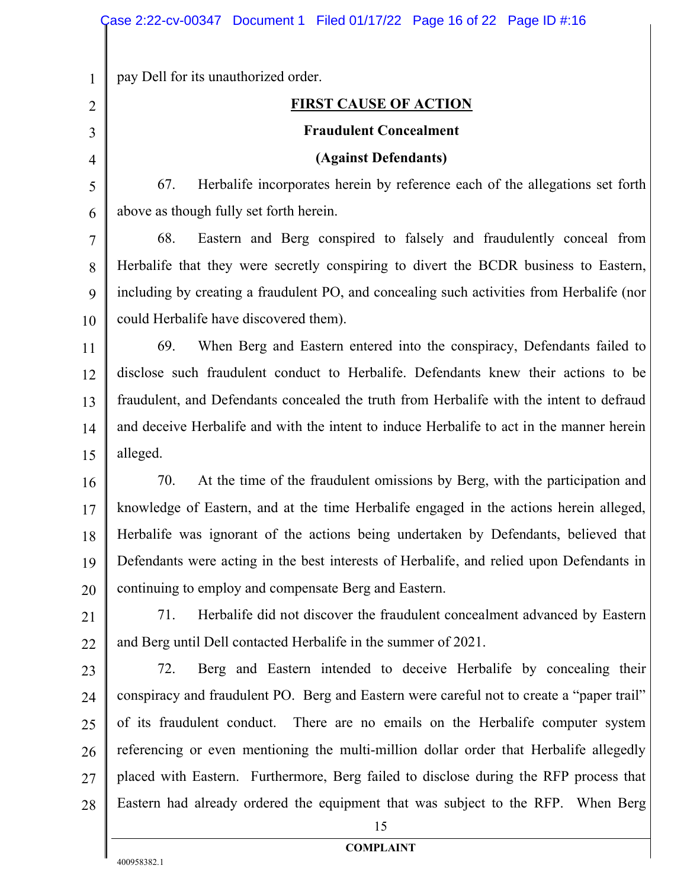pay Dell for its unauthorized order.

1

2

3

4

5

6

## **FIRST CAUSE OF ACTION**

#### **Fraudulent Concealment**

#### **(Against Defendants)**

67. Herbalife incorporates herein by reference each of the allegations set forth above as though fully set forth herein.

7 8 9 10 68. Eastern and Berg conspired to falsely and fraudulently conceal from Herbalife that they were secretly conspiring to divert the BCDR business to Eastern, including by creating a fraudulent PO, and concealing such activities from Herbalife (nor could Herbalife have discovered them).

11 12 13 14 15 69. When Berg and Eastern entered into the conspiracy, Defendants failed to disclose such fraudulent conduct to Herbalife. Defendants knew their actions to be fraudulent, and Defendants concealed the truth from Herbalife with the intent to defraud and deceive Herbalife and with the intent to induce Herbalife to act in the manner herein alleged.

16 17 18 19 20 70. At the time of the fraudulent omissions by Berg, with the participation and knowledge of Eastern, and at the time Herbalife engaged in the actions herein alleged, Herbalife was ignorant of the actions being undertaken by Defendants, believed that Defendants were acting in the best interests of Herbalife, and relied upon Defendants in continuing to employ and compensate Berg and Eastern.

21 22 71. Herbalife did not discover the fraudulent concealment advanced by Eastern and Berg until Dell contacted Herbalife in the summer of 2021.

23 24 25 26 27 28 72. Berg and Eastern intended to deceive Herbalife by concealing their conspiracy and fraudulent PO. Berg and Eastern were careful not to create a "paper trail" of its fraudulent conduct. There are no emails on the Herbalife computer system referencing or even mentioning the multi-million dollar order that Herbalife allegedly placed with Eastern. Furthermore, Berg failed to disclose during the RFP process that Eastern had already ordered the equipment that was subject to the RFP. When Berg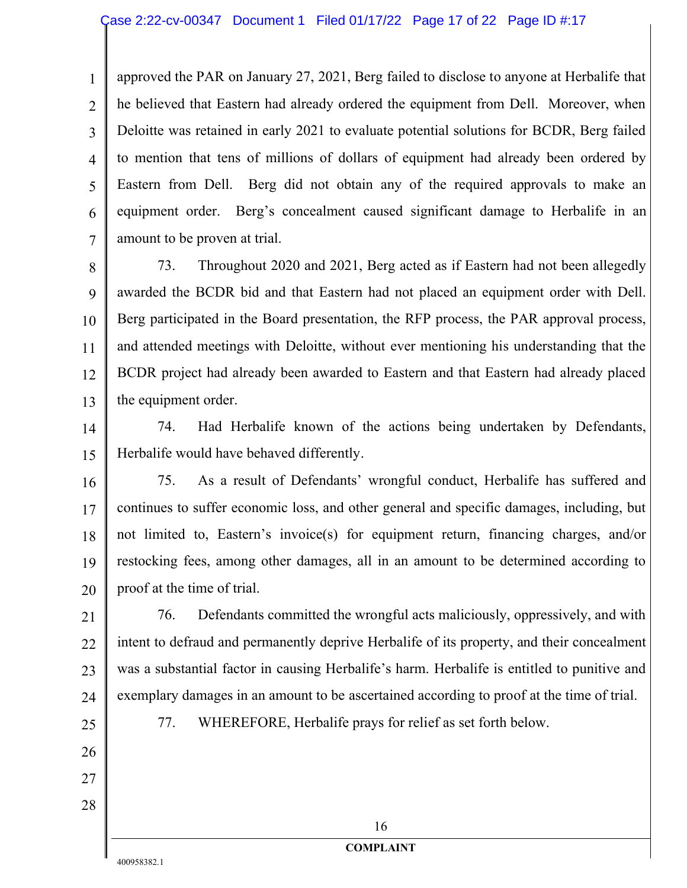1 2 3 4 5 6 7 approved the PAR on January 27, 2021, Berg failed to disclose to anyone at Herbalife that he believed that Eastern had already ordered the equipment from Dell. Moreover, when Deloitte was retained in early 2021 to evaluate potential solutions for BCDR, Berg failed to mention that tens of millions of dollars of equipment had already been ordered by Eastern from Dell. Berg did not obtain any of the required approvals to make an equipment order. Berg's concealment caused significant damage to Herbalife in an amount to be proven at trial.

8 9 10 11 12 13 73. Throughout 2020 and 2021, Berg acted as if Eastern had not been allegedly awarded the BCDR bid and that Eastern had not placed an equipment order with Dell. Berg participated in the Board presentation, the RFP process, the PAR approval process, and attended meetings with Deloitte, without ever mentioning his understanding that the BCDR project had already been awarded to Eastern and that Eastern had already placed the equipment order.

14 15 74. Had Herbalife known of the actions being undertaken by Defendants, Herbalife would have behaved differently.

16 17 18 19 20 75. As a result of Defendants' wrongful conduct, Herbalife has suffered and continues to suffer economic loss, and other general and specific damages, including, but not limited to, Eastern's invoice(s) for equipment return, financing charges, and/or restocking fees, among other damages, all in an amount to be determined according to proof at the time of trial.

21 22 23 24 76. Defendants committed the wrongful acts maliciously, oppressively, and with intent to defraud and permanently deprive Herbalife of its property, and their concealment was a substantial factor in causing Herbalife's harm. Herbalife is entitled to punitive and exemplary damages in an amount to be ascertained according to proof at the time of trial.

25

26

27

28

77. WHEREFORE, Herbalife prays for relief as set forth below.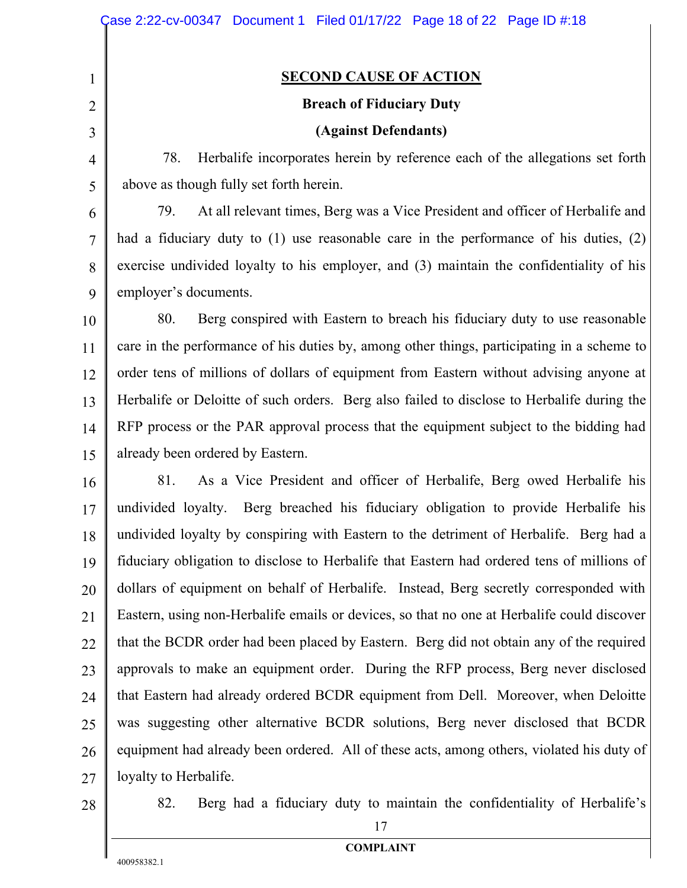#### **SECOND CAUSE OF ACTION**

# **Breach of Fiduciary Duty**

## **(Against Defendants)**

78. Herbalife incorporates herein by reference each of the allegations set forth above as though fully set forth herein.

79. At all relevant times, Berg was a Vice President and officer of Herbalife and had a fiduciary duty to (1) use reasonable care in the performance of his duties, (2) exercise undivided loyalty to his employer, and (3) maintain the confidentiality of his employer's documents.

10 11 12 13 14 15 80. Berg conspired with Eastern to breach his fiduciary duty to use reasonable care in the performance of his duties by, among other things, participating in a scheme to order tens of millions of dollars of equipment from Eastern without advising anyone at Herbalife or Deloitte of such orders. Berg also failed to disclose to Herbalife during the RFP process or the PAR approval process that the equipment subject to the bidding had already been ordered by Eastern.

16 17 18 19 20 21 22 23 24 25 26 27 81. As a Vice President and officer of Herbalife, Berg owed Herbalife his undivided loyalty. Berg breached his fiduciary obligation to provide Herbalife his undivided loyalty by conspiring with Eastern to the detriment of Herbalife. Berg had a fiduciary obligation to disclose to Herbalife that Eastern had ordered tens of millions of dollars of equipment on behalf of Herbalife. Instead, Berg secretly corresponded with Eastern, using non-Herbalife emails or devices, so that no one at Herbalife could discover that the BCDR order had been placed by Eastern. Berg did not obtain any of the required approvals to make an equipment order. During the RFP process, Berg never disclosed that Eastern had already ordered BCDR equipment from Dell. Moreover, when Deloitte was suggesting other alternative BCDR solutions, Berg never disclosed that BCDR equipment had already been ordered. All of these acts, among others, violated his duty of loyalty to Herbalife.

28

1

2

3

4

5

6

7

8

9

82. Berg had a fiduciary duty to maintain the confidentiality of Herbalife's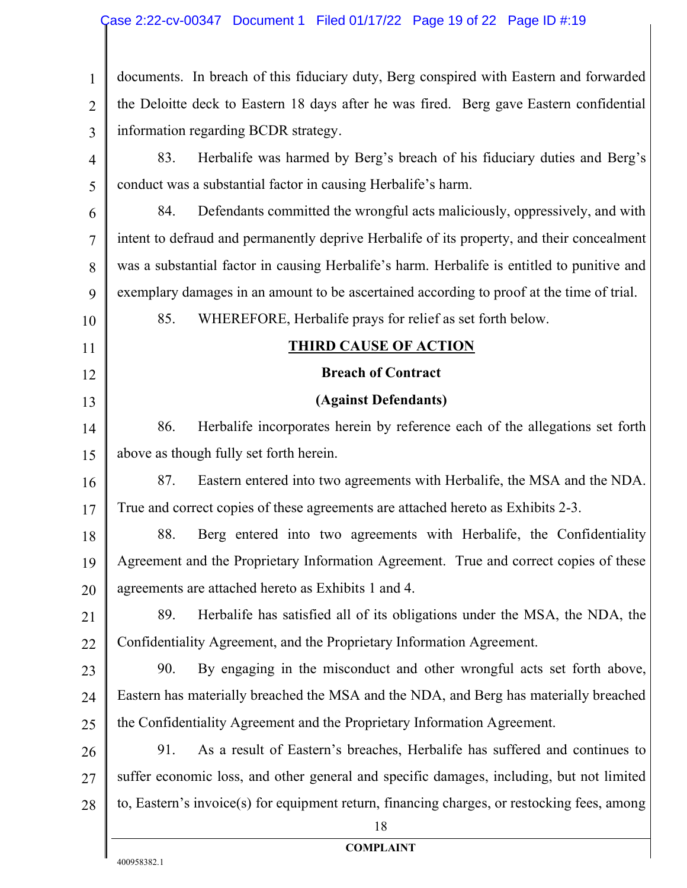1 2 3 documents. In breach of this fiduciary duty, Berg conspired with Eastern and forwarded the Deloitte deck to Eastern 18 days after he was fired. Berg gave Eastern confidential information regarding BCDR strategy.

4 5 83. Herbalife was harmed by Berg's breach of his fiduciary duties and Berg's conduct was a substantial factor in causing Herbalife's harm.

6 7 8 9 84. Defendants committed the wrongful acts maliciously, oppressively, and with intent to defraud and permanently deprive Herbalife of its property, and their concealment was a substantial factor in causing Herbalife's harm. Herbalife is entitled to punitive and exemplary damages in an amount to be ascertained according to proof at the time of trial.

85. WHEREFORE, Herbalife prays for relief as set forth below.

10 11

12

13

## **THIRD CAUSE OF ACTION**

## **Breach of Contract**

## **(Against Defendants)**

14 15 86. Herbalife incorporates herein by reference each of the allegations set forth above as though fully set forth herein.

16 17 87. Eastern entered into two agreements with Herbalife, the MSA and the NDA. True and correct copies of these agreements are attached hereto as Exhibits 2-3.

18 19 20 88. Berg entered into two agreements with Herbalife, the Confidentiality Agreement and the Proprietary Information Agreement. True and correct copies of these agreements are attached hereto as Exhibits 1 and 4.

- 21 22 89. Herbalife has satisfied all of its obligations under the MSA, the NDA, the Confidentiality Agreement, and the Proprietary Information Agreement.
- 23 24 25 90. By engaging in the misconduct and other wrongful acts set forth above, Eastern has materially breached the MSA and the NDA, and Berg has materially breached the Confidentiality Agreement and the Proprietary Information Agreement.
- 26 27 28 91. As a result of Eastern's breaches, Herbalife has suffered and continues to suffer economic loss, and other general and specific damages, including, but not limited to, Eastern's invoice(s) for equipment return, financing charges, or restocking fees, among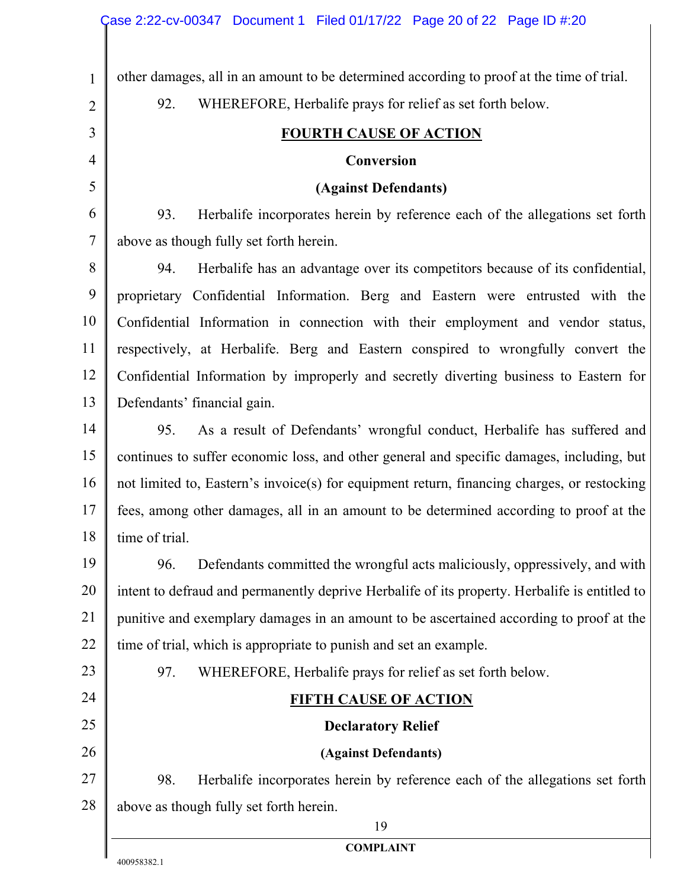| other damages, all in an amount to be determined according to proof at the time of trial.<br>$\mathbf{1}$<br>WHEREFORE, Herbalife prays for relief as set forth below.<br>92.<br>$\overline{2}$<br>3<br><b>FOURTH CAUSE OF ACTION</b><br>$\overline{4}$<br>Conversion<br>5<br>(Against Defendants)<br>6<br>93.<br>Herbalife incorporates herein by reference each of the allegations set forth<br>$\overline{7}$<br>above as though fully set forth herein.<br>8<br>94.<br>Herbalife has an advantage over its competitors because of its confidential,<br>9<br>proprietary Confidential Information. Berg and Eastern were entrusted with the<br>10<br>Confidential Information in connection with their employment and vendor status,<br>11<br>respectively, at Herbalife. Berg and Eastern conspired to wrongfully convert the<br>12<br>Confidential Information by improperly and secretly diverting business to Eastern for<br>13<br>Defendants' financial gain.<br>14<br>As a result of Defendants' wrongful conduct, Herbalife has suffered and<br>95.<br>15<br>continues to suffer economic loss, and other general and specific damages, including, but<br>16<br>not limited to, Eastern's invoice(s) for equipment return, financing charges, or restocking<br>17<br>fees, among other damages, all in an amount to be determined according to proof at the<br>18<br>time of trial.<br>19<br>Defendants committed the wrongful acts maliciously, oppressively, and with<br>96.<br>20<br>intent to defraud and permanently deprive Herbalife of its property. Herbalife is entitled to |
|-------------------------------------------------------------------------------------------------------------------------------------------------------------------------------------------------------------------------------------------------------------------------------------------------------------------------------------------------------------------------------------------------------------------------------------------------------------------------------------------------------------------------------------------------------------------------------------------------------------------------------------------------------------------------------------------------------------------------------------------------------------------------------------------------------------------------------------------------------------------------------------------------------------------------------------------------------------------------------------------------------------------------------------------------------------------------------------------------------------------------------------------------------------------------------------------------------------------------------------------------------------------------------------------------------------------------------------------------------------------------------------------------------------------------------------------------------------------------------------------------------------------------------------------------------------------------------------------------|
|                                                                                                                                                                                                                                                                                                                                                                                                                                                                                                                                                                                                                                                                                                                                                                                                                                                                                                                                                                                                                                                                                                                                                                                                                                                                                                                                                                                                                                                                                                                                                                                                 |
|                                                                                                                                                                                                                                                                                                                                                                                                                                                                                                                                                                                                                                                                                                                                                                                                                                                                                                                                                                                                                                                                                                                                                                                                                                                                                                                                                                                                                                                                                                                                                                                                 |
|                                                                                                                                                                                                                                                                                                                                                                                                                                                                                                                                                                                                                                                                                                                                                                                                                                                                                                                                                                                                                                                                                                                                                                                                                                                                                                                                                                                                                                                                                                                                                                                                 |
|                                                                                                                                                                                                                                                                                                                                                                                                                                                                                                                                                                                                                                                                                                                                                                                                                                                                                                                                                                                                                                                                                                                                                                                                                                                                                                                                                                                                                                                                                                                                                                                                 |
|                                                                                                                                                                                                                                                                                                                                                                                                                                                                                                                                                                                                                                                                                                                                                                                                                                                                                                                                                                                                                                                                                                                                                                                                                                                                                                                                                                                                                                                                                                                                                                                                 |
|                                                                                                                                                                                                                                                                                                                                                                                                                                                                                                                                                                                                                                                                                                                                                                                                                                                                                                                                                                                                                                                                                                                                                                                                                                                                                                                                                                                                                                                                                                                                                                                                 |
|                                                                                                                                                                                                                                                                                                                                                                                                                                                                                                                                                                                                                                                                                                                                                                                                                                                                                                                                                                                                                                                                                                                                                                                                                                                                                                                                                                                                                                                                                                                                                                                                 |
|                                                                                                                                                                                                                                                                                                                                                                                                                                                                                                                                                                                                                                                                                                                                                                                                                                                                                                                                                                                                                                                                                                                                                                                                                                                                                                                                                                                                                                                                                                                                                                                                 |
|                                                                                                                                                                                                                                                                                                                                                                                                                                                                                                                                                                                                                                                                                                                                                                                                                                                                                                                                                                                                                                                                                                                                                                                                                                                                                                                                                                                                                                                                                                                                                                                                 |
|                                                                                                                                                                                                                                                                                                                                                                                                                                                                                                                                                                                                                                                                                                                                                                                                                                                                                                                                                                                                                                                                                                                                                                                                                                                                                                                                                                                                                                                                                                                                                                                                 |
|                                                                                                                                                                                                                                                                                                                                                                                                                                                                                                                                                                                                                                                                                                                                                                                                                                                                                                                                                                                                                                                                                                                                                                                                                                                                                                                                                                                                                                                                                                                                                                                                 |
|                                                                                                                                                                                                                                                                                                                                                                                                                                                                                                                                                                                                                                                                                                                                                                                                                                                                                                                                                                                                                                                                                                                                                                                                                                                                                                                                                                                                                                                                                                                                                                                                 |
|                                                                                                                                                                                                                                                                                                                                                                                                                                                                                                                                                                                                                                                                                                                                                                                                                                                                                                                                                                                                                                                                                                                                                                                                                                                                                                                                                                                                                                                                                                                                                                                                 |
|                                                                                                                                                                                                                                                                                                                                                                                                                                                                                                                                                                                                                                                                                                                                                                                                                                                                                                                                                                                                                                                                                                                                                                                                                                                                                                                                                                                                                                                                                                                                                                                                 |
|                                                                                                                                                                                                                                                                                                                                                                                                                                                                                                                                                                                                                                                                                                                                                                                                                                                                                                                                                                                                                                                                                                                                                                                                                                                                                                                                                                                                                                                                                                                                                                                                 |
|                                                                                                                                                                                                                                                                                                                                                                                                                                                                                                                                                                                                                                                                                                                                                                                                                                                                                                                                                                                                                                                                                                                                                                                                                                                                                                                                                                                                                                                                                                                                                                                                 |
|                                                                                                                                                                                                                                                                                                                                                                                                                                                                                                                                                                                                                                                                                                                                                                                                                                                                                                                                                                                                                                                                                                                                                                                                                                                                                                                                                                                                                                                                                                                                                                                                 |
|                                                                                                                                                                                                                                                                                                                                                                                                                                                                                                                                                                                                                                                                                                                                                                                                                                                                                                                                                                                                                                                                                                                                                                                                                                                                                                                                                                                                                                                                                                                                                                                                 |
|                                                                                                                                                                                                                                                                                                                                                                                                                                                                                                                                                                                                                                                                                                                                                                                                                                                                                                                                                                                                                                                                                                                                                                                                                                                                                                                                                                                                                                                                                                                                                                                                 |
|                                                                                                                                                                                                                                                                                                                                                                                                                                                                                                                                                                                                                                                                                                                                                                                                                                                                                                                                                                                                                                                                                                                                                                                                                                                                                                                                                                                                                                                                                                                                                                                                 |
| 21<br>punitive and exemplary damages in an amount to be ascertained according to proof at the                                                                                                                                                                                                                                                                                                                                                                                                                                                                                                                                                                                                                                                                                                                                                                                                                                                                                                                                                                                                                                                                                                                                                                                                                                                                                                                                                                                                                                                                                                   |
| 22<br>time of trial, which is appropriate to punish and set an example.                                                                                                                                                                                                                                                                                                                                                                                                                                                                                                                                                                                                                                                                                                                                                                                                                                                                                                                                                                                                                                                                                                                                                                                                                                                                                                                                                                                                                                                                                                                         |
| 23<br>WHEREFORE, Herbalife prays for relief as set forth below.<br>97.                                                                                                                                                                                                                                                                                                                                                                                                                                                                                                                                                                                                                                                                                                                                                                                                                                                                                                                                                                                                                                                                                                                                                                                                                                                                                                                                                                                                                                                                                                                          |
| 24<br><b>FIFTH CAUSE OF ACTION</b>                                                                                                                                                                                                                                                                                                                                                                                                                                                                                                                                                                                                                                                                                                                                                                                                                                                                                                                                                                                                                                                                                                                                                                                                                                                                                                                                                                                                                                                                                                                                                              |
| 25<br><b>Declaratory Relief</b>                                                                                                                                                                                                                                                                                                                                                                                                                                                                                                                                                                                                                                                                                                                                                                                                                                                                                                                                                                                                                                                                                                                                                                                                                                                                                                                                                                                                                                                                                                                                                                 |
| 26<br>(Against Defendants)                                                                                                                                                                                                                                                                                                                                                                                                                                                                                                                                                                                                                                                                                                                                                                                                                                                                                                                                                                                                                                                                                                                                                                                                                                                                                                                                                                                                                                                                                                                                                                      |
| 27<br>Herbalife incorporates herein by reference each of the allegations set forth<br>98.                                                                                                                                                                                                                                                                                                                                                                                                                                                                                                                                                                                                                                                                                                                                                                                                                                                                                                                                                                                                                                                                                                                                                                                                                                                                                                                                                                                                                                                                                                       |
| 28<br>above as though fully set forth herein.                                                                                                                                                                                                                                                                                                                                                                                                                                                                                                                                                                                                                                                                                                                                                                                                                                                                                                                                                                                                                                                                                                                                                                                                                                                                                                                                                                                                                                                                                                                                                   |
| 19<br><b>COMPLAINT</b>                                                                                                                                                                                                                                                                                                                                                                                                                                                                                                                                                                                                                                                                                                                                                                                                                                                                                                                                                                                                                                                                                                                                                                                                                                                                                                                                                                                                                                                                                                                                                                          |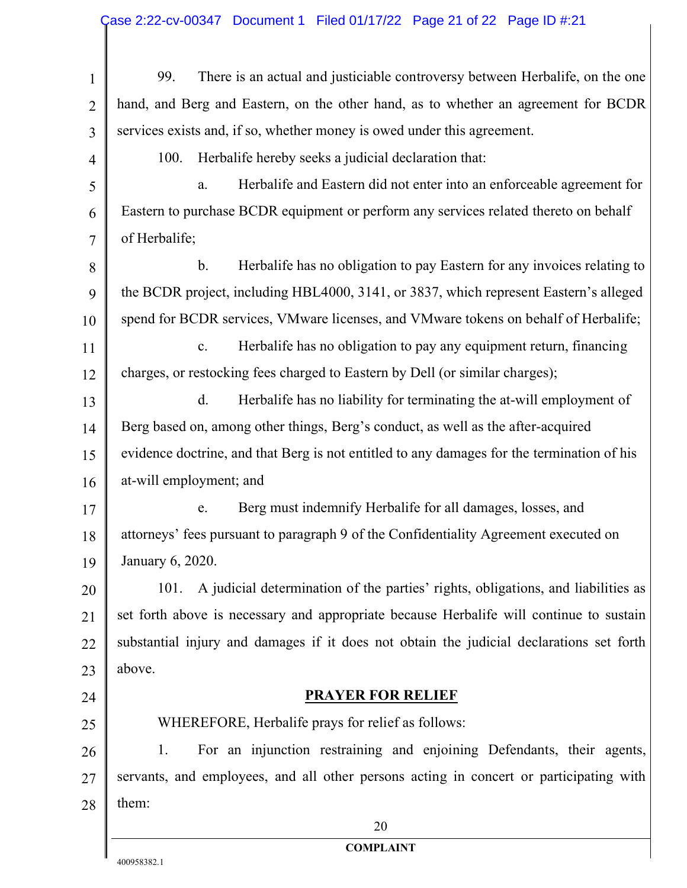# Case 2:22-cv-00347 Document 1 Filed 01/17/22 Page 21 of 22 Page ID #:21

| $\mathbf{1}$   | There is an actual and justiciable controversy between Herbalife, on the one<br>99.        |  |  |
|----------------|--------------------------------------------------------------------------------------------|--|--|
| $\overline{2}$ | hand, and Berg and Eastern, on the other hand, as to whether an agreement for BCDR         |  |  |
| 3              | services exists and, if so, whether money is owed under this agreement.                    |  |  |
| 4              | Herbalife hereby seeks a judicial declaration that:<br>100.                                |  |  |
| 5              | Herbalife and Eastern did not enter into an enforceable agreement for<br>a.                |  |  |
| 6              | Eastern to purchase BCDR equipment or perform any services related thereto on behalf       |  |  |
| $\overline{7}$ | of Herbalife;                                                                              |  |  |
| 8              | $\mathbf b$ .<br>Herbalife has no obligation to pay Eastern for any invoices relating to   |  |  |
| 9              | the BCDR project, including HBL4000, 3141, or 3837, which represent Eastern's alleged      |  |  |
| 10             | spend for BCDR services, VMware licenses, and VMware tokens on behalf of Herbalife;        |  |  |
| 11             | Herbalife has no obligation to pay any equipment return, financing<br>$\mathbf{c}$ .       |  |  |
| 12             | charges, or restocking fees charged to Eastern by Dell (or similar charges);               |  |  |
| 13             | Herbalife has no liability for terminating the at-will employment of<br>d.                 |  |  |
| 14             | Berg based on, among other things, Berg's conduct, as well as the after-acquired           |  |  |
| 15             | evidence doctrine, and that Berg is not entitled to any damages for the termination of his |  |  |
| 16             | at-will employment; and                                                                    |  |  |
| 17             | Berg must indemnify Herbalife for all damages, losses, and<br>e.                           |  |  |
| 18             | attorneys' fees pursuant to paragraph 9 of the Confidentiality Agreement executed on       |  |  |
| 19             | January 6, 2020.                                                                           |  |  |
| 20             | A judicial determination of the parties' rights, obligations, and liabilities as<br>101.   |  |  |
| 21             | set forth above is necessary and appropriate because Herbalife will continue to sustain    |  |  |
| 22             | substantial injury and damages if it does not obtain the judicial declarations set forth   |  |  |
| 23             | above.                                                                                     |  |  |
| 24             | <b>PRAYER FOR RELIEF</b>                                                                   |  |  |
| 25             | WHEREFORE, Herbalife prays for relief as follows:                                          |  |  |
| 26             | For an injunction restraining and enjoining Defendants, their agents,<br>1.                |  |  |
| 27             | servants, and employees, and all other persons acting in concert or participating with     |  |  |
| 28             | them:                                                                                      |  |  |
|                | 20                                                                                         |  |  |
|                | <b>COMPLAINT</b>                                                                           |  |  |